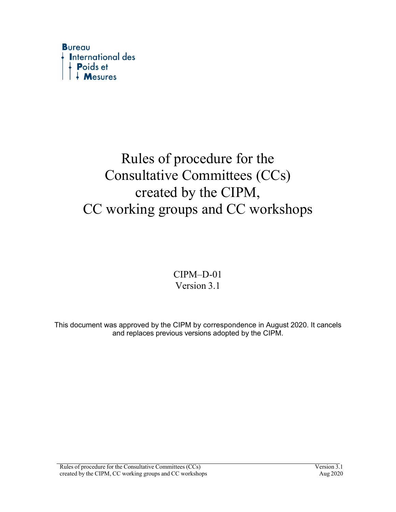

# Rules of procedure for the Consultative Committees (CCs) created by the CIPM, CC working groups and CC workshops

CIPM–D-01 Version 3.1

This document was approved by the CIPM by correspondence in August 2020. It cancels and replaces previous versions adopted by the CIPM.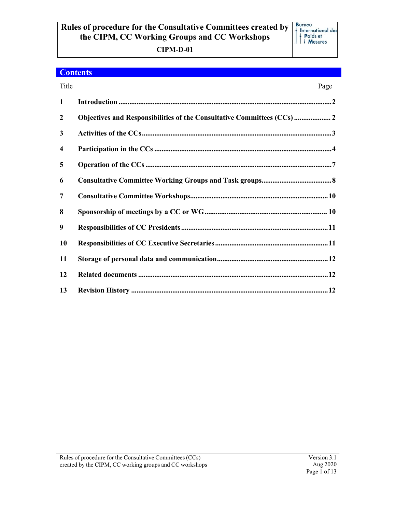# **Rules of procedure for the Consultative Committees created by the CIPM, CC Working Groups and CC Workshops**

**CIPM-D-01**

# **Contents**

### Title Page

| $\mathbf{1}$            |  |
|-------------------------|--|
| $\boldsymbol{2}$        |  |
| 3                       |  |
| $\overline{\mathbf{4}}$ |  |
| 5                       |  |
| 6                       |  |
| $\overline{7}$          |  |
| 8                       |  |
| 9                       |  |
| 10                      |  |
| 11                      |  |
| 12                      |  |
| 13                      |  |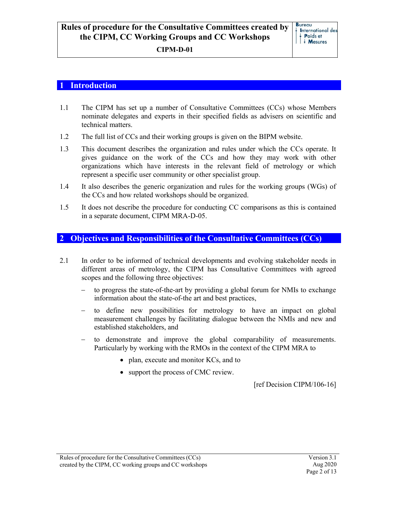### **Introduction**

- 1.1 The CIPM has set up a number of Consultative Committees (CCs) whose Members nominate delegates and experts in their specified fields as advisers on scientific and technical matters.
- 1.2 The full list of CCs and their working groups is given on the BIPM website.
- 1.3 This document describes the organization and rules under which the CCs operate. It gives guidance on the work of the CCs and how they may work with other organizations which have interests in the relevant field of metrology or which represent a specific user community or other specialist group.
- 1.4 It also describes the generic organization and rules for the working groups (WGs) of the CCs and how related workshops should be organized.
- 1.5 It does not describe the procedure for conducting CC comparisons as this is contained in a separate document, CIPM MRA-D-05.

## **2 Objectives and Responsibilities of the Consultative Committees (CCs)**

- 2.1 In order to be informed of technical developments and evolving stakeholder needs in different areas of metrology, the CIPM has Consultative Committees with agreed scopes and the following three objectives:
	- to progress the state-of-the-art by providing a global forum for NMIs to exchange information about the state-of-the art and best practices,
	- to define new possibilities for metrology to have an impact on global measurement challenges by facilitating dialogue between the NMIs and new and established stakeholders, and
	- to demonstrate and improve the global comparability of measurements. Particularly by working with the RMOs in the context of the CIPM MRA to
		- plan, execute and monitor KCs, and to
		- support the process of CMC review.

[ref Decision CIPM/106-16]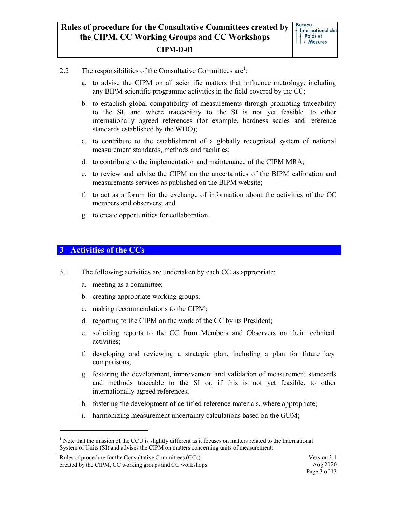- 2.2 The responsibilities of the Consultative Committees are<sup>1</sup>:
	- a. to advise the CIPM on all scientific matters that influence metrology, including any BIPM scientific programme activities in the field covered by the CC;
	- b. to establish global compatibility of measurements through promoting traceability to the SI, and where traceability to the SI is not yet feasible, to other internationally agreed references (for example, hardness scales and reference standards established by the WHO);
	- c. to contribute to the establishment of a globally recognized system of national measurement standards, methods and facilities;
	- d. to contribute to the implementation and maintenance of the CIPM MRA;
	- e. to review and advise the CIPM on the uncertainties of the BIPM calibration and measurements services as published on the BIPM website;
	- f. to act as a forum for the exchange of information about the activities of the CC members and observers; and
	- g. to create opportunities for collaboration.

# **3 Activities of the CCs**

- 3.1 The following activities are undertaken by each CC as appropriate:
	- a. meeting as a committee;
	- b. creating appropriate working groups;
	- c. making recommendations to the CIPM;
	- d. reporting to the CIPM on the work of the CC by its President;
	- e. soliciting reports to the CC from Members and Observers on their technical activities;
	- f. developing and reviewing a strategic plan, including a plan for future key comparisons;
	- g. fostering the development, improvement and validation of measurement standards and methods traceable to the SI or, if this is not yet feasible, to other internationally agreed references;
	- h. fostering the development of certified reference materials, where appropriate;
	- i. harmonizing measurement uncertainty calculations based on the GUM;

 $<sup>1</sup>$  Note that the mission of the CCU is slightly different as it focuses on matters related to the International</sup> System of Units (SI) and advises the CIPM on matters concerning units of measurement.

Rules of procedure for the Consultative Committees (CCs) created by the CIPM, CC working groups and CC workshops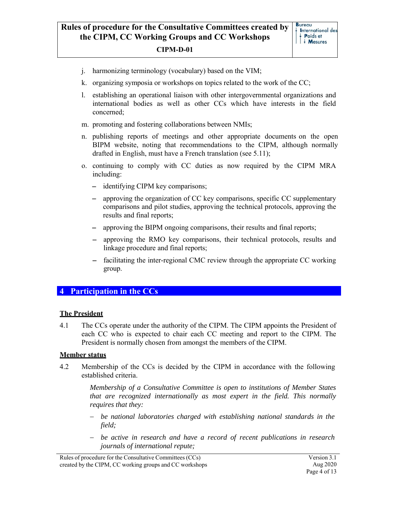- j. harmonizing terminology (vocabulary) based on the VIM;
- k. organizing symposia or workshops on topics related to the work of the CC;
- l. establishing an operational liaison with other intergovernmental organizations and international bodies as well as other CCs which have interests in the field concerned;
- m. promoting and fostering collaborations between NMIs;
- n. publishing reports of meetings and other appropriate documents on the open BIPM website, noting that recommendations to the CIPM, although normally drafted in English, must have a French translation (see 5.11);
- o. continuing to comply with CC duties as now required by the CIPM MRA including:
	- identifying CIPM key comparisons;
	- approving the organization of CC key comparisons, specific CC supplementary comparisons and pilot studies, approving the technical protocols, approving the results and final reports;
	- approving the BIPM ongoing comparisons, their results and final reports;
	- approving the RMO key comparisons, their technical protocols, results and linkage procedure and final reports;
	- facilitating the inter-regional CMC review through the appropriate CC working group.

## **4 Participation in the CCs**

### **The President**

4.1 The CCs operate under the authority of the CIPM. The CIPM appoints the President of each CC who is expected to chair each CC meeting and report to the CIPM. The President is normally chosen from amongst the members of the CIPM.

### **Member status**

4.2 Membership of the CCs is decided by the CIPM in accordance with the following established criteria.

> *Membership of a Consultative Committee is open to institutions of Member States that are recognized internationally as most expert in the field. This normally requires that they:*

- *be national laboratories charged with establishing national standards in the field;*
- *be active in research and have a record of recent publications in research journals of international repute;*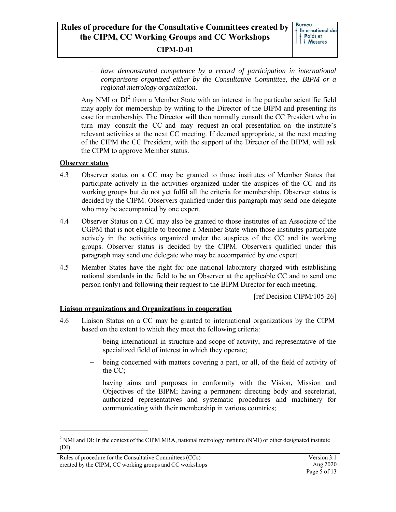*have demonstrated competence by a record of participation in international comparisons organized either by the Consultative Committee, the BIPM or a regional metrology organization.*

Any NMI or  $DI^2$  from a Member State with an interest in the particular scientific field may apply for membership by writing to the Director of the BIPM and presenting its case for membership. The Director will then normally consult the CC President who in turn may consult the CC and may request an oral presentation on the institute's relevant activities at the next CC meeting. If deemed appropriate, at the next meeting of the CIPM the CC President, with the support of the Director of the BIPM, will ask the CIPM to approve Member status.

### **Observer status**

- 4.3 Observer status on a CC may be granted to those institutes of Member States that participate actively in the activities organized under the auspices of the CC and its working groups but do not yet fulfil all the criteria for membership. Observer status is decided by the CIPM. Observers qualified under this paragraph may send one delegate who may be accompanied by one expert.
- 4.4 Observer Status on a CC may also be granted to those institutes of an Associate of the CGPM that is not eligible to become a Member State when those institutes participate actively in the activities organized under the auspices of the CC and its working groups. Observer status is decided by the CIPM. Observers qualified under this paragraph may send one delegate who may be accompanied by one expert.
- 4.5 Member States have the right for one national laboratory charged with establishing national standards in the field to be an Observer at the applicable CC and to send one person (only) and following their request to the BIPM Director for each meeting.

[ref Decision CIPM/105-26]

### **Liaison organizations and Organizations in cooperation**

- 4.6 Liaison Status on a CC may be granted to international organizations by the CIPM based on the extent to which they meet the following criteria:
	- being international in structure and scope of activity, and representative of the specialized field of interest in which they operate;
	- being concerned with matters covering a part, or all, of the field of activity of the CC;
	- having aims and purposes in conformity with the Vision, Mission and Objectives of the BIPM; having a permanent directing body and secretariat, authorized representatives and systematic procedures and machinery for communicating with their membership in various countries;

<sup>&</sup>lt;sup>2</sup> NMI and DI: In the context of the CIPM MRA, national metrology institute (NMI) or other designated institute (DI)

Rules of procedure for the Consultative Committees (CCs) created by the CIPM, CC working groups and CC workshops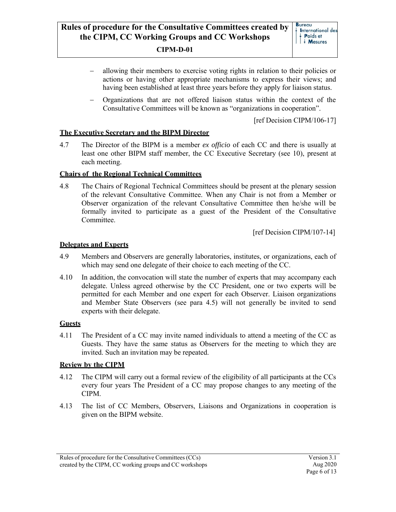- allowing their members to exercise voting rights in relation to their policies or actions or having other appropriate mechanisms to express their views; and having been established at least three years before they apply for liaison status.
- Organizations that are not offered liaison status within the context of the Consultative Committees will be known as "organizations in cooperation".

[ref Decision CIPM/106-17]

### **The Executive Secretary and the BIPM Director**

4.7 The Director of the BIPM is a member *ex officio* of each CC and there is usually at least one other BIPM staff member, the CC Executive Secretary (see 10), present at each meeting.

### **Chairs of the Regional Technical Committees**

4.8 The Chairs of Regional Technical Committees should be present at the plenary session of the relevant Consultative Committee. When any Chair is not from a Member or Observer organization of the relevant Consultative Committee then he/she will be formally invited to participate as a guest of the President of the Consultative Committee.

[ref Decision CIPM/107-14]

### **Delegates and Experts**

- 4.9 Members and Observers are generally laboratories, institutes, or organizations, each of which may send one delegate of their choice to each meeting of the CC.
- 4.10 In addition, the convocation will state the number of experts that may accompany each delegate. Unless agreed otherwise by the CC President, one or two experts will be permitted for each Member and one expert for each Observer. Liaison organizations and Member State Observers (see para 4.5) will not generally be invited to send experts with their delegate.

### **Guests**

4.11 The President of a CC may invite named individuals to attend a meeting of the CC as Guests. They have the same status as Observers for the meeting to which they are invited. Such an invitation may be repeated.

### **Review by the CIPM**

- 4.12 The CIPM will carry out a formal review of the eligibility of all participants at the CCs every four years The President of a CC may propose changes to any meeting of the CIPM.
- 4.13 The list of CC Members, Observers, Liaisons and Organizations in cooperation is given on the BIPM website.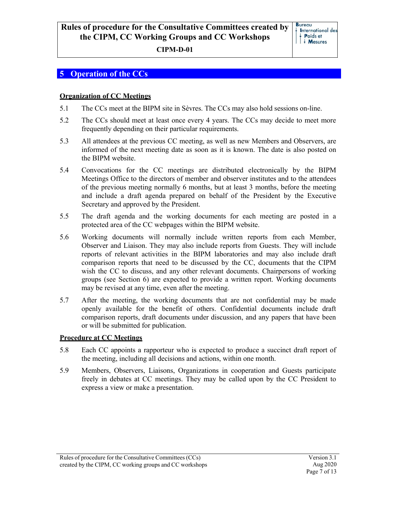# **Rules of procedure for the Consultative Committees created by the CIPM, CC Working Groups and CC Workshops**

**CIPM-D-01**

# **5 Operation of the CCs**

### **Organization of CC Meetings**

- 5.1 The CCs meet at the BIPM site in Sèvres. The CCs may also hold sessions on-line.
- 5.2 The CCs should meet at least once every 4 years. The CCs may decide to meet more frequently depending on their particular requirements.
- 5.3 All attendees at the previous CC meeting, as well as new Members and Observers, are informed of the next meeting date as soon as it is known. The date is also posted on the BIPM website.
- 5.4 Convocations for the CC meetings are distributed electronically by the BIPM Meetings Office to the directors of member and observer institutes and to the attendees of the previous meeting normally 6 months, but at least 3 months, before the meeting and include a draft agenda prepared on behalf of the President by the Executive Secretary and approved by the President.
- 5.5 The draft agenda and the working documents for each meeting are posted in a protected area of the CC webpages within the BIPM website.
- 5.6 Working documents will normally include written reports from each Member, Observer and Liaison. They may also include reports from Guests. They will include reports of relevant activities in the BIPM laboratories and may also include draft comparison reports that need to be discussed by the CC, documents that the CIPM wish the CC to discuss, and any other relevant documents. Chairpersons of working groups (see Section 6) are expected to provide a written report. Working documents may be revised at any time, even after the meeting.
- 5.7 After the meeting, the working documents that are not confidential may be made openly available for the benefit of others. Confidential documents include draft comparison reports, draft documents under discussion, and any papers that have been or will be submitted for publication.

### **Procedure at CC Meetings**

- 5.8 Each CC appoints a rapporteur who is expected to produce a succinct draft report of the meeting, including all decisions and actions, within one month.
- 5.9 Members, Observers, Liaisons, Organizations in cooperation and Guests participate freely in debates at CC meetings. They may be called upon by the CC President to express a view or make a presentation.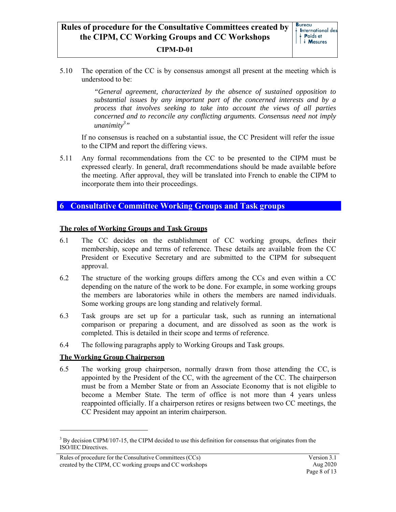5.10 The operation of the CC is by consensus amongst all present at the meeting which is understood to be:

> *"General agreement, characterized by the absence of sustained opposition to substantial issues by any important part of the concerned interests and by a process that involves seeking to take into account the views of all parties concerned and to reconcile any conflicting arguments. Consensus need not imply unanimity3 "*

If no consensus is reached on a substantial issue, the CC President will refer the issue to the CIPM and report the differing views.

5.11 Any formal recommendations from the CC to be presented to the CIPM must be expressed clearly. In general, draft recommendations should be made available before the meeting. After approval, they will be translated into French to enable the CIPM to incorporate them into their proceedings.

### **6 Consultative Committee Working Groups and Task groups**

### **The roles of Working Groups and Task Groups**

- 6.1 The CC decides on the establishment of CC working groups, defines their membership, scope and terms of reference. These details are available from the CC President or Executive Secretary and are submitted to the CIPM for subsequent approval.
- 6.2 The structure of the working groups differs among the CCs and even within a CC depending on the nature of the work to be done. For example, in some working groups the members are laboratories while in others the members are named individuals. Some working groups are long standing and relatively formal.
- 6.3 Task groups are set up for a particular task, such as running an international comparison or preparing a document, and are dissolved as soon as the work is completed. This is detailed in their scope and terms of reference.
- 6.4 The following paragraphs apply to Working Groups and Task groups.

### **The Working Group Chairperson**

6.5 The working group chairperson, normally drawn from those attending the CC, is appointed by the President of the CC, with the agreement of the CC. The chairperson must be from a Member State or from an Associate Economy that is not eligible to become a Member State. The term of office is not more than 4 years unless reappointed officially. If a chairperson retires or resigns between two CC meetings, the CC President may appoint an interim chairperson.

 $3$  By decision CIPM/107-15, the CIPM decided to use this definition for consensus that originates from the ISO/IEC Directives.

Rules of procedure for the Consultative Committees (CCs) created by the CIPM, CC working groups and CC workshops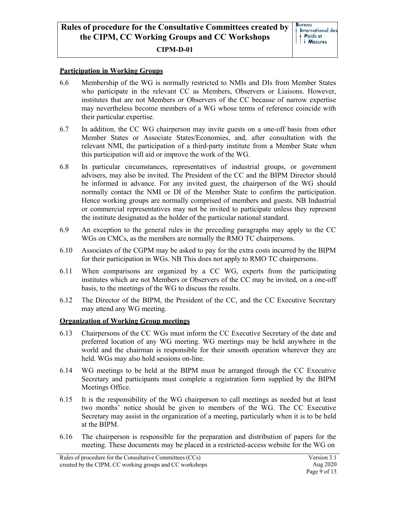### **Participation in Working Groups**

- 6.6 Membership of the WG is normally restricted to NMIs and DIs from Member States who participate in the relevant CC as Members, Observers or Liaisons. However, institutes that are not Members or Observers of the CC because of narrow expertise may nevertheless become members of a WG whose terms of reference coincide with their particular expertise.
- 6.7 In addition, the CC WG chairperson may invite guests on a one-off basis from other Member States or Associate States/Economies, and, after consultation with the relevant NMI, the participation of a third-party institute from a Member State when this participation will aid or improve the work of the WG.
- 6.8 In particular circumstances, representatives of industrial groups, or government advisers, may also be invited. The President of the CC and the BIPM Director should be informed in advance. For any invited guest, the chairperson of the WG should normally contact the NMI or DI of the Member State to confirm the participation. Hence working groups are normally comprised of members and guests. NB Industrial or commercial representatives may not be invited to participate unless they represent the institute designated as the holder of the particular national standard.
- 6.9 An exception to the general rules in the preceding paragraphs may apply to the CC WGs on CMCs, as the members are normally the RMO TC chairpersons.
- 6.10 Associates of the CGPM may be asked to pay for the extra costs incurred by the BIPM for their participation in WGs. NB This does not apply to RMO TC chairpersons.
- 6.11 When comparisons are organized by a CC WG, experts from the participating institutes which are not Members or Observers of the CC may be invited, on a one-off basis, to the meetings of the WG to discuss the results.
- 6.12 The Director of the BIPM, the President of the CC, and the CC Executive Secretary may attend any WG meeting.

### **Organization of Working Group meetings**

- 6.13 Chairpersons of the CC WGs must inform the CC Executive Secretary of the date and preferred location of any WG meeting. WG meetings may be held anywhere in the world and the chairman is responsible for their smooth operation wherever they are held. WGs may also hold sessions on-line.
- 6.14 WG meetings to be held at the BIPM must be arranged through the CC Executive Secretary and participants must complete a registration form supplied by the BIPM Meetings Office.
- 6.15 It is the responsibility of the WG chairperson to call meetings as needed but at least two months' notice should be given to members of the WG. The CC Executive Secretary may assist in the organization of a meeting, particularly when it is to be held at the BIPM.
- 6.16 The chairperson is responsible for the preparation and distribution of papers for the meeting. These documents may be placed in a restricted-access website for the WG on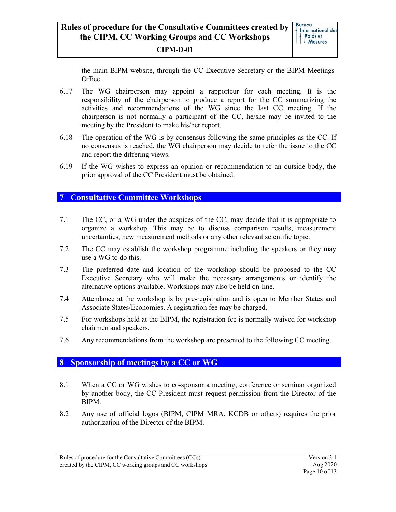the main BIPM website, through the CC Executive Secretary or the BIPM Meetings Office.

- 6.17 The WG chairperson may appoint a rapporteur for each meeting. It is the responsibility of the chairperson to produce a report for the CC summarizing the activities and recommendations of the WG since the last CC meeting. If the chairperson is not normally a participant of the CC, he/she may be invited to the meeting by the President to make his/her report.
- 6.18 The operation of the WG is by consensus following the same principles as the CC. If no consensus is reached, the WG chairperson may decide to refer the issue to the CC and report the differing views.
- 6.19 If the WG wishes to express an opinion or recommendation to an outside body, the prior approval of the CC President must be obtained.

## **7 Consultative Committee Workshops**

- 7.1 The CC, or a WG under the auspices of the CC, may decide that it is appropriate to organize a workshop. This may be to discuss comparison results, measurement uncertainties, new measurement methods or any other relevant scientific topic.
- 7.2 The CC may establish the workshop programme including the speakers or they may use a WG to do this.
- 7.3 The preferred date and location of the workshop should be proposed to the CC Executive Secretary who will make the necessary arrangements or identify the alternative options available. Workshops may also be held on-line.
- 7.4 Attendance at the workshop is by pre-registration and is open to Member States and Associate States/Economies. A registration fee may be charged.
- 7.5 For workshops held at the BIPM, the registration fee is normally waived for workshop chairmen and speakers.
- 7.6 Any recommendations from the workshop are presented to the following CC meeting.

# **8 Sponsorship of meetings by a CC or WG**

- 8.1 When a CC or WG wishes to co-sponsor a meeting, conference or seminar organized by another body, the CC President must request permission from the Director of the BIPM.
- 8.2 Any use of official logos (BIPM, CIPM MRA, KCDB or others) requires the prior authorization of the Director of the BIPM.

Rules of procedure for the Consultative Committees (CCs) created by the CIPM, CC working groups and CC workshops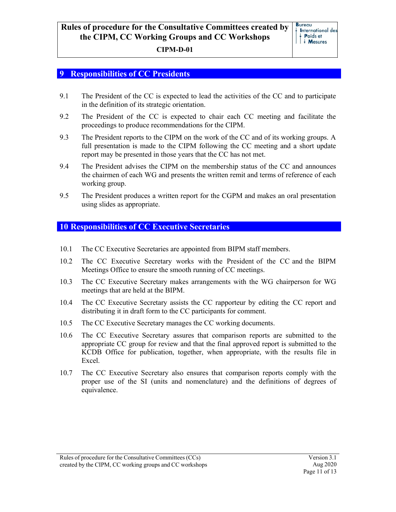## **9 Responsibilities of CC Presidents**

- 9.1 The President of the CC is expected to lead the activities of the CC and to participate in the definition of its strategic orientation.
- 9.2 The President of the CC is expected to chair each CC meeting and facilitate the proceedings to produce recommendations for the CIPM.
- 9.3 The President reports to the CIPM on the work of the CC and of its working groups. A full presentation is made to the CIPM following the CC meeting and a short update report may be presented in those years that the CC has not met.
- 9.4 The President advises the CIPM on the membership status of the CC and announces the chairmen of each WG and presents the written remit and terms of reference of each working group.
- 9.5 The President produces a written report for the CGPM and makes an oral presentation using slides as appropriate.

# **10 Responsibilities of CC Executive Secretaries**

- 10.1 The CC Executive Secretaries are appointed from BIPM staff members.
- 10.2 The CC Executive Secretary works with the President of the CC and the BIPM Meetings Office to ensure the smooth running of CC meetings.
- 10.3 The CC Executive Secretary makes arrangements with the WG chairperson for WG meetings that are held at the BIPM.
- 10.4 The CC Executive Secretary assists the CC rapporteur by editing the CC report and distributing it in draft form to the CC participants for comment.
- 10.5 The CC Executive Secretary manages the CC working documents.
- 10.6 The CC Executive Secretary assures that comparison reports are submitted to the appropriate CC group for review and that the final approved report is submitted to the KCDB Office for publication, together, when appropriate, with the results file in Excel.
- 10.7 The CC Executive Secretary also ensures that comparison reports comply with the proper use of the SI (units and nomenclature) and the definitions of degrees of equivalence.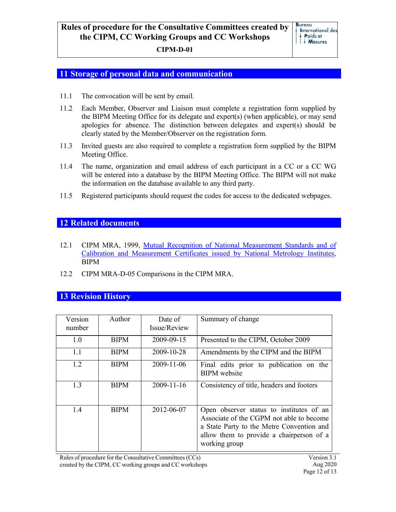# **11 Storage of personal data and communication**

- 11.1 The convocation will be sent by email.
- 11.2 Each Member, Observer and Liaison must complete a registration form supplied by the BIPM Meeting Office for its delegate and expert(s) (when applicable), or may send apologies for absence. The distinction between delegates and expert(s) should be clearly stated by the Member/Observer on the registration form.
- 11.3 Invited guests are also required to complete a registration form supplied by the BIPM Meeting Office.
- 11.4 The name, organization and email address of each participant in a CC or a CC WG will be entered into a database by the BIPM Meeting Office. The BIPM will not make the information on the database available to any third party.
- 11.5 Registered participants should request the codes for access to the dedicated webpages.

# **12 Related documents**

- 12.1 CIPM MRA, 1999, Mutual Recognition of National Measurement Standards and of Calibration and Measurement Certificates issued by National Metrology Institutes, BIPM
- 12.2 CIPM MRA-D-05 Comparisons in the CIPM MRA.

# **13 Revision History**

| Version<br>number | Author      | Date of<br>Issue/Review | Summary of change                                                                                                                                                                              |
|-------------------|-------------|-------------------------|------------------------------------------------------------------------------------------------------------------------------------------------------------------------------------------------|
| 1.0               | <b>BIPM</b> | 2009-09-15              | Presented to the CIPM, October 2009                                                                                                                                                            |
| 1.1               | <b>BIPM</b> | 2009-10-28              | Amendments by the CIPM and the BIPM                                                                                                                                                            |
| 1.2               | <b>BIPM</b> | 2009-11-06              | Final edits prior to publication on the<br><b>BIPM</b> website                                                                                                                                 |
| 1.3               | <b>BIPM</b> | $2009 - 11 - 16$        | Consistency of title, headers and footers                                                                                                                                                      |
| 1.4               | <b>BIPM</b> | 2012-06-07              | Open observer status to institutes of an<br>Associate of the CGPM not able to become<br>a State Party to the Metre Convention and<br>allow them to provide a chairperson of a<br>working group |